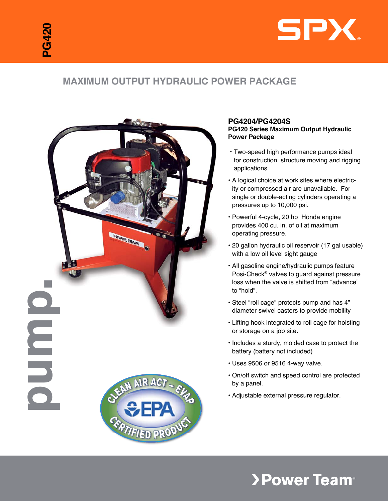

# **Maximum Output Hydraulic Power Package**



### **PG4204/PG4204S PG420 Series Maximum Output Hydraulic Power Package**

- Two-speed high performance pumps ideal for construction, structure moving and rigging applications
- A logical choice at work sites where electricity or compressed air are unavailable. For single or double-acting cylinders operating a pressures up to 10,000 psi.
- Powerful 4-cycle, 20 hp Honda engine provides 400 cu. in. of oil at maximum operating pressure.
- 20 gallon hydraulic oil reservoir (17 gal usable) with a low oil level sight gauge
- All gasoline engine/hydraulic pumps feature Posi-Check® valves to guard against pressure loss when the valve is shifted from "advance" to "hold".
- Steel "roll cage" protects pump and has 4" diameter swivel casters to provide mobility
- Lifting hook integrated to roll cage for hoisting or storage on a job site.
- Includes a sturdy, molded case to protect the battery (battery not included)
- Uses 9506 or 9516 4-way valve.
- On/off switch and speed control are protected by a panel.
- Adjustable external pressure regulator.

# **>Power Team®**